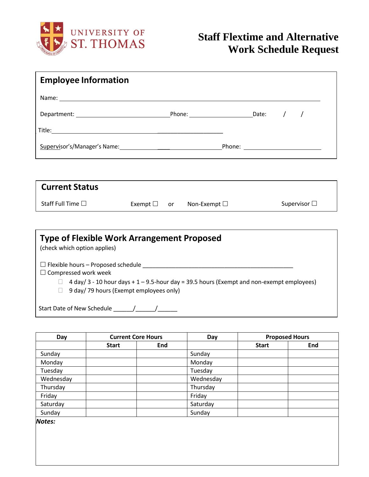

| <b>Employee Information</b> |  |                                    |                      |  |
|-----------------------------|--|------------------------------------|----------------------|--|
|                             |  |                                    |                      |  |
|                             |  |                                    |                      |  |
|                             |  |                                    |                      |  |
|                             |  |                                    |                      |  |
|                             |  |                                    |                      |  |
| <b>Current Status</b>       |  |                                    |                      |  |
| Staff Full Time $\square$   |  | Exempt $\Box$ or Non-Exempt $\Box$ | Supervisor $\square$ |  |
|                             |  |                                    |                      |  |

| <b>Type of Flexible Work Arrangement Proposed</b><br>(check which option applies)                                                                                                                                |  |  |  |  |  |
|------------------------------------------------------------------------------------------------------------------------------------------------------------------------------------------------------------------|--|--|--|--|--|
| $\Box$ Flexible hours – Proposed schedule<br>$\Box$ Compressed work week<br>4 day/ 3 - 10 hour days + 1 - 9.5-hour day = 39.5 hours (Exempt and non-exempt employees)<br>9 day/ 79 hours (Exempt employees only) |  |  |  |  |  |
| Start Date of New Schedule                                                                                                                                                                                       |  |  |  |  |  |

| Day           | <b>Current Core Hours</b> |     | Day       | <b>Proposed Hours</b> |     |
|---------------|---------------------------|-----|-----------|-----------------------|-----|
|               | <b>Start</b>              | End |           | <b>Start</b>          | End |
| Sunday        |                           |     | Sunday    |                       |     |
| Monday        |                           |     | Monday    |                       |     |
| Tuesday       |                           |     | Tuesday   |                       |     |
| Wednesday     |                           |     | Wednesday |                       |     |
| Thursday      |                           |     | Thursday  |                       |     |
| Friday        |                           |     | Friday    |                       |     |
| Saturday      |                           |     | Saturday  |                       |     |
| Sunday        |                           |     | Sunday    |                       |     |
| <b>Notes:</b> |                           |     |           |                       |     |